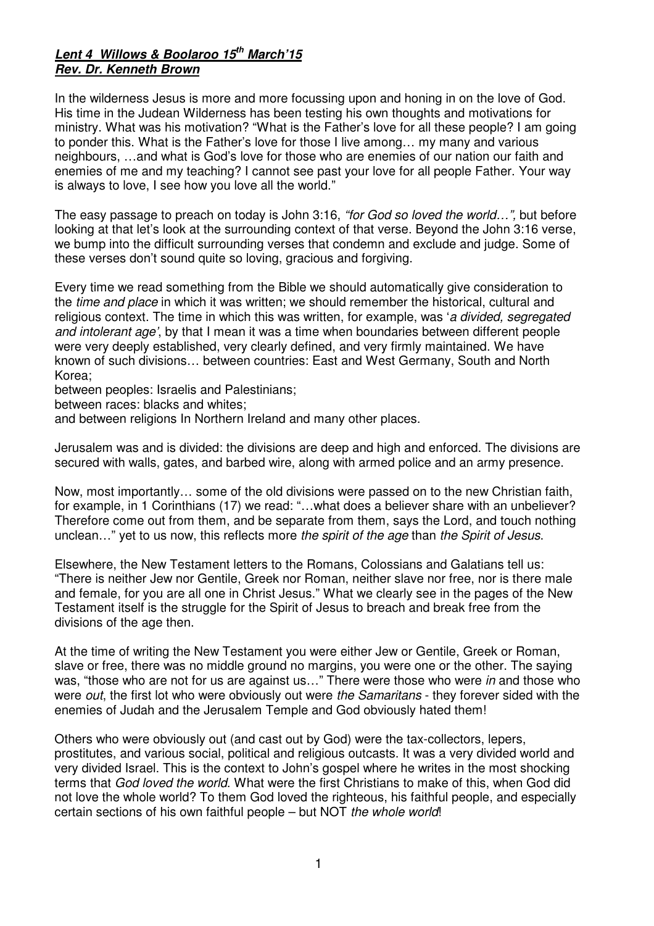## **Lent 4 Willows & Boolaroo 15th March'15 Rev. Dr. Kenneth Brown**

In the wilderness Jesus is more and more focussing upon and honing in on the love of God. His time in the Judean Wilderness has been testing his own thoughts and motivations for ministry. What was his motivation? "What is the Father's love for all these people? I am going to ponder this. What is the Father's love for those I live among… my many and various neighbours, …and what is God's love for those who are enemies of our nation our faith and enemies of me and my teaching? I cannot see past your love for all people Father. Your way is always to love, I see how you love all the world."

The easy passage to preach on today is John 3:16, "for God so loved the world…", but before looking at that let's look at the surrounding context of that verse. Beyond the John 3:16 verse, we bump into the difficult surrounding verses that condemn and exclude and judge. Some of these verses don't sound quite so loving, gracious and forgiving.

Every time we read something from the Bible we should automatically give consideration to the *time and place* in which it was written; we should remember the historical, cultural and religious context. The time in which this was written, for example, was 'a divided, segregated and intolerant age', by that I mean it was a time when boundaries between different people were very deeply established, very clearly defined, and very firmly maintained. We have known of such divisions… between countries: East and West Germany, South and North Korea;

between peoples: Israelis and Palestinians;

between races: blacks and whites;

and between religions In Northern Ireland and many other places.

Jerusalem was and is divided: the divisions are deep and high and enforced. The divisions are secured with walls, gates, and barbed wire, along with armed police and an army presence.

Now, most importantly… some of the old divisions were passed on to the new Christian faith, for example, in 1 Corinthians (17) we read: "…what does a believer share with an unbeliever? Therefore come out from them, and be separate from them, says the Lord, and touch nothing unclean..." yet to us now, this reflects more the spirit of the age than the Spirit of Jesus.

Elsewhere, the New Testament letters to the Romans, Colossians and Galatians tell us: "There is neither Jew nor Gentile, Greek nor Roman, neither slave nor free, nor is there male and female, for you are all one in Christ Jesus." What we clearly see in the pages of the New Testament itself is the struggle for the Spirit of Jesus to breach and break free from the divisions of the age then.

At the time of writing the New Testament you were either Jew or Gentile, Greek or Roman, slave or free, there was no middle ground no margins, you were one or the other. The saying was, "those who are not for us are against us..." There were those who were in and those who were out, the first lot who were obviously out were the Samaritans - they forever sided with the enemies of Judah and the Jerusalem Temple and God obviously hated them!

Others who were obviously out (and cast out by God) were the tax-collectors, lepers, prostitutes, and various social, political and religious outcasts. It was a very divided world and very divided Israel. This is the context to John's gospel where he writes in the most shocking terms that God loved the world. What were the first Christians to make of this, when God did not love the whole world? To them God loved the righteous, his faithful people, and especially certain sections of his own faithful people – but NOT the whole world!